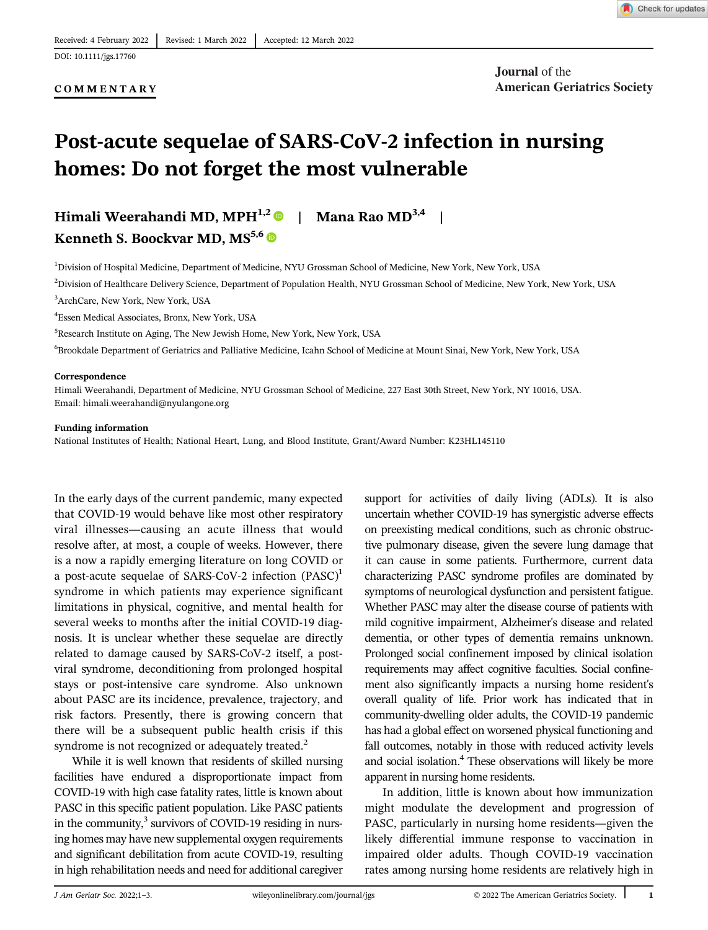#### COMMENTARY

# Post-acute sequelae of SARS-CoV-2 infection in nursing homes: Do not forget the most vulnerable

# Himali Weerahandi MD, MPH<sup>1,2</sup> | Mana Rao MD<sup>3,4</sup> |

Kenneth S. Boockvar MD, MS<sup>5,6</sup>

<sup>1</sup>Division of Hospital Medicine, Department of Medicine, NYU Grossman School of Medicine, New York, New York, USA

2 Division of Healthcare Delivery Science, Department of Population Health, NYU Grossman School of Medicine, New York, New York, USA 3 ArchCare, New York, New York, USA

4 Essen Medical Associates, Bronx, New York, USA

5 Research Institute on Aging, The New Jewish Home, New York, New York, USA

6 Brookdale Department of Geriatrics and Palliative Medicine, Icahn School of Medicine at Mount Sinai, New York, New York, USA

#### Correspondence

Himali Weerahandi, Department of Medicine, NYU Grossman School of Medicine, 227 East 30th Street, New York, NY 10016, USA. Email: [himali.weerahandi@nyulangone.org](mailto:himali.weerahandi@nyulangone.org)

#### Funding information

National Institutes of Health; National Heart, Lung, and Blood Institute, Grant/Award Number: K23HL145110

In the early days of the current pandemic, many expected that COVID-19 would behave like most other respiratory viral illnesses—causing an acute illness that would resolve after, at most, a couple of weeks. However, there is a now a rapidly emerging literature on long COVID or a post-acute sequelae of SARS-CoV-2 infection  $(PASC)^1$ syndrome in which patients may experience significant limitations in physical, cognitive, and mental health for several weeks to months after the initial COVID-19 diagnosis. It is unclear whether these sequelae are directly related to damage caused by SARS-CoV-2 itself, a postviral syndrome, deconditioning from prolonged hospital stays or post-intensive care syndrome. Also unknown about PASC are its incidence, prevalence, trajectory, and risk factors. Presently, there is growing concern that there will be a subsequent public health crisis if this syndrome is not recognized or adequately treated.<sup>2</sup>

While it is well known that residents of skilled nursing facilities have endured a disproportionate impact from COVID-19 with high case fatality rates, little is known about PASC in this specific patient population. Like PASC patients in the community, $3$  survivors of COVID-19 residing in nursing homes may have new supplemental oxygen requirements and significant debilitation from acute COVID-19, resulting in high rehabilitation needs and need for additional caregiver

support for activities of daily living (ADLs). It is also uncertain whether COVID-19 has synergistic adverse effects on preexisting medical conditions, such as chronic obstructive pulmonary disease, given the severe lung damage that it can cause in some patients. Furthermore, current data characterizing PASC syndrome profiles are dominated by symptoms of neurological dysfunction and persistent fatigue. Whether PASC may alter the disease course of patients with mild cognitive impairment, Alzheimer's disease and related dementia, or other types of dementia remains unknown. Prolonged social confinement imposed by clinical isolation requirements may affect cognitive faculties. Social confinement also significantly impacts a nursing home resident's overall quality of life. Prior work has indicated that in community-dwelling older adults, the COVID-19 pandemic has had a global effect on worsened physical functioning and fall outcomes, notably in those with reduced activity levels and social isolation.<sup>4</sup> These observations will likely be more apparent in nursing home residents.

In addition, little is known about how immunization might modulate the development and progression of PASC, particularly in nursing home residents—given the likely differential immune response to vaccination in impaired older adults. Though COVID-19 vaccination rates among nursing home residents are relatively high in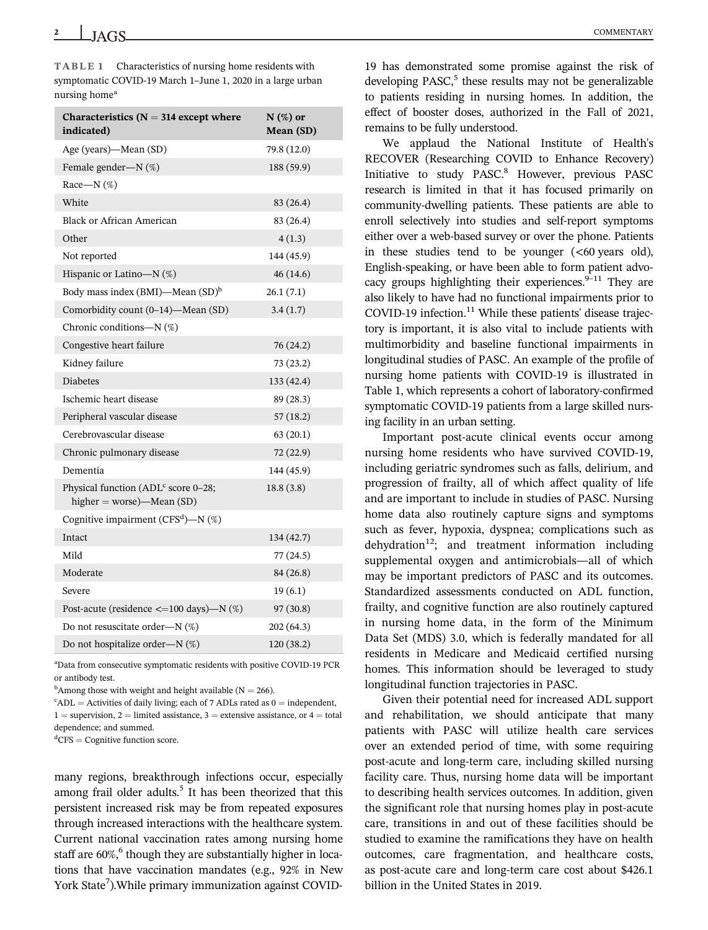TABLE 1 Characteristics of nursing home residents with symptomatic COVID-19 March 1–June 1, 2020 in a large urban nursing home<sup>a</sup>

| Characteristics ( $N = 314$ except where<br>indicated)                         | $N$ (%) or<br>Mean (SD) |
|--------------------------------------------------------------------------------|-------------------------|
| Age (years)—Mean (SD)                                                          | 79.8 (12.0)             |
| Female gender-N (%)                                                            | 188 (59.9)              |
| Race-N $(\%)$                                                                  |                         |
| White                                                                          | 83 (26.4)               |
| Black or African American                                                      | 83 (26.4)               |
| Other                                                                          | 4(1.3)                  |
| Not reported                                                                   | 144 (45.9)              |
| Hispanic or Latino- $N$ (%)                                                    | 46(14.6)                |
| Body mass index (BMI)—Mean (SD) <sup>b</sup>                                   | 26.1(7.1)               |
| Comorbidity count (0-14)-Mean (SD)                                             | 3.4(1.7)                |
| Chronic conditions— $N$ (%)                                                    |                         |
| Congestive heart failure                                                       | 76 (24.2)               |
| Kidney failure                                                                 | 73 (23.2)               |
| <b>Diabetes</b>                                                                | 133 (42.4)              |
| Ischemic heart disease                                                         | 89 (28.3)               |
| Peripheral vascular disease                                                    | 57(18.2)                |
| Cerebrovascular disease                                                        | 63 (20.1)               |
| Chronic pulmonary disease                                                      | 72 (22.9)               |
| Dementia                                                                       | 144 (45.9)              |
| Physical function (ADL <sup>c</sup> score 0-28;<br>higher = worse)—Mean $(SD)$ | 18.8(3.8)               |
| Cognitive impairment (CFS <sup>d</sup> )-N (%)                                 |                         |
| Intact                                                                         | 134 (42.7)              |
| Mild                                                                           | 77(24.5)                |
| Moderate                                                                       | 84 (26.8)               |
| Severe                                                                         | 19(6.1)                 |
| Post-acute (residence $\leq$ =100 days)—N (%)                                  | 97(30.8)                |
| Do not resuscitate order—N $(\%)$                                              | 202 (64.3)              |
| Do not hospitalize order-N (%)                                                 | 120 (38.2)              |
|                                                                                |                         |

a Data from consecutive symptomatic residents with positive COVID-19 PCR or antibody test.

<sup>b</sup>Among those with weight and height available ( $N = 266$ ).

 $c<sup>c</sup> ADL =$  Activities of daily living; each of 7 ADLs rated as  $0 =$  independent,  $1 =$  supervision,  $2 =$  limited assistance,  $3 =$  extensive assistance, or  $4 =$  total dependence; and summed.

<sup>d</sup>CFS = Cognitive function score.

many regions, breakthrough infections occur, especially among frail older adults.<sup>5</sup> It has been theorized that this persistent increased risk may be from repeated exposures through increased interactions with the healthcare system. Current national vaccination rates among nursing home staff are 60%,<sup>6</sup> though they are substantially higher in locations that have vaccination mandates (e.g., 92% in New York State<sup>7</sup>). While primary immunization against COVID-

19 has demonstrated some promise against the risk of developing  $PASC<sub>1</sub><sup>5</sup>$  these results may not be generalizable to patients residing in nursing homes. In addition, the effect of booster doses, authorized in the Fall of 2021, remains to be fully understood.

We applaud the National Institute of Health's RECOVER (Researching COVID to Enhance Recovery) Initiative to study PASC.<sup>8</sup> However, previous PASC research is limited in that it has focused primarily on community-dwelling patients. These patients are able to enroll selectively into studies and self-report symptoms either over a web-based survey or over the phone. Patients in these studies tend to be younger (<60 years old), English-speaking, or have been able to form patient advocacy groups highlighting their experiences. $9-11$  They are also likely to have had no functional impairments prior to COVID-19 infection.<sup>11</sup> While these patients' disease trajectory is important, it is also vital to include patients with multimorbidity and baseline functional impairments in longitudinal studies of PASC. An example of the profile of nursing home patients with COVID-19 is illustrated in Table 1, which represents a cohort of laboratory-confirmed symptomatic COVID-19 patients from a large skilled nursing facility in an urban setting.

Important post-acute clinical events occur among nursing home residents who have survived COVID-19, including geriatric syndromes such as falls, delirium, and progression of frailty, all of which affect quality of life and are important to include in studies of PASC. Nursing home data also routinely capture signs and symptoms such as fever, hypoxia, dyspnea; complications such as dehydration<sup>12</sup>; and treatment information including supplemental oxygen and antimicrobials—all of which may be important predictors of PASC and its outcomes. Standardized assessments conducted on ADL function, frailty, and cognitive function are also routinely captured in nursing home data, in the form of the Minimum Data Set (MDS) 3.0, which is federally mandated for all residents in Medicare and Medicaid certified nursing homes. This information should be leveraged to study longitudinal function trajectories in PASC.

Given their potential need for increased ADL support and rehabilitation, we should anticipate that many patients with PASC will utilize health care services over an extended period of time, with some requiring post-acute and long-term care, including skilled nursing facility care. Thus, nursing home data will be important to describing health services outcomes. In addition, given the significant role that nursing homes play in post-acute care, transitions in and out of these facilities should be studied to examine the ramifications they have on health outcomes, care fragmentation, and healthcare costs, as post-acute care and long-term care cost about \$426.1 billion in the United States in 2019.